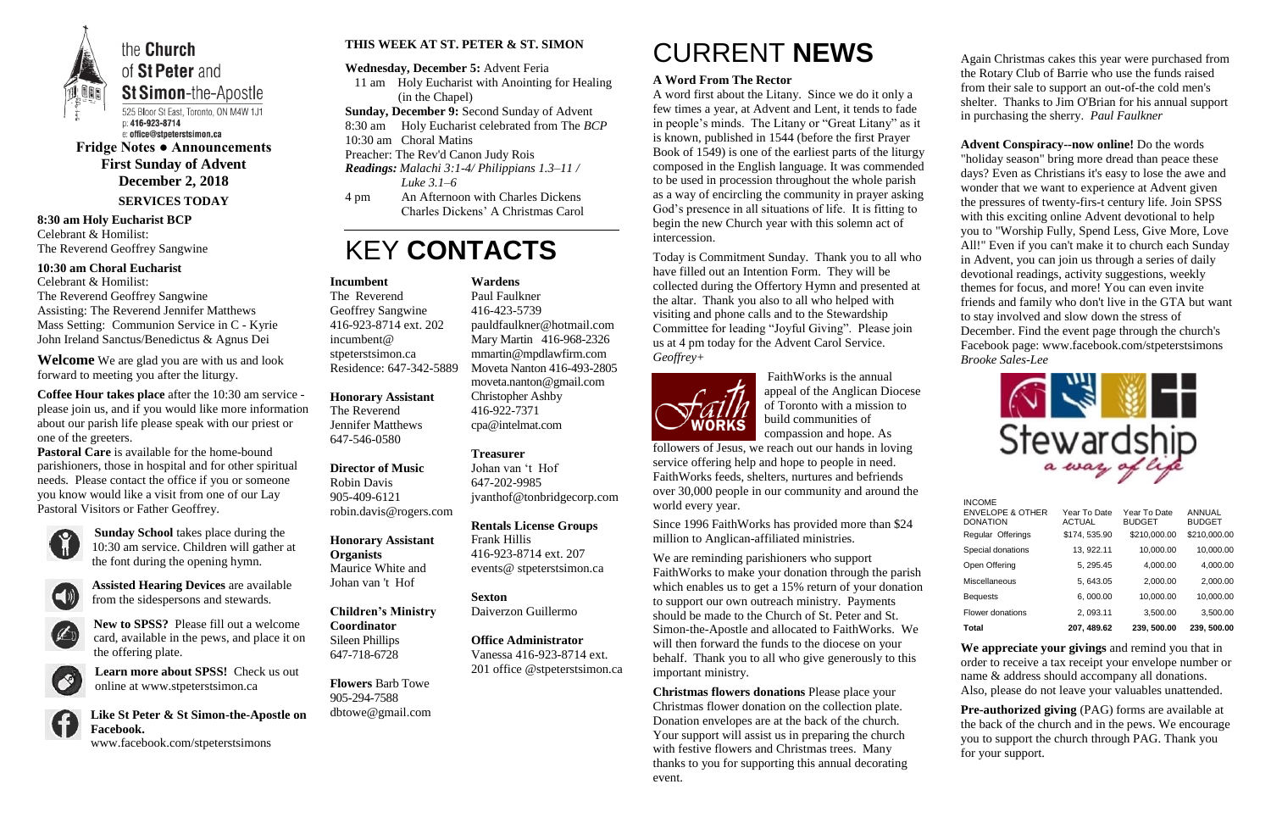

the **Church** of St Peter and **St Simon-the-Apostle** 

525 Bloor St East, Toronto, ON M4W 1J1 p: 416-923-8714 e: office@stpeterstsimon.ca

**Fridge Notes ● Announcements First Sunday of Advent December 2, 2018 SERVICES TODAY**

**8:30 am Holy Eucharist BCP** Celebrant & Homilist: The Reverend Geoffrey Sangwine

**10:30 am Choral Eucharist**

Celebrant & Homilist: The Reverend Geoffrey Sangwine Assisting: The Reverend Jennifer Matthews Mass Setting: Communion Service in C - Kyrie John Ireland Sanctus/Benedictus & Agnus Dei

**Welcome** We are glad you are with us and look forward to meeting you after the liturgy.

**Coffee Hour takes place** after the 10:30 am service please join us, and if you would like more information about our parish life please speak with our priest or one of the greeters.

**Pastoral Care** is available for the home-bound parishioners, those in hospital and for other spiritual needs. Please contact the office if you or someone you know would like a visit from one of our Lay Pastoral Visitors or Father Geoffrey.



**Sunday School** takes place during the 10:30 am service. Children will gather at the font during the opening hymn.



**Assisted Hearing Devices** are available from the sidespersons and stewards.



**New to SPSS?** Please fill out a welcome card, available in the pews, and place it on the offering plate.



**Learn more about SPSS!** Check us out online at www.stpeterstsimon.ca

**Like St Peter & St Simon-the-Apostle on Facebook.** 



www.facebook.com/stpeterstsimons

### **THIS WEEK AT ST. PETER & ST. SIMON**

**Wednesday, December 5:** Advent Feria

- 11 am Holy Eucharist with Anointing for Healing (in the Chapel)
- **Sunday, December 9:** Second Sunday of Advent
- 8:30 am Holy Eucharist celebrated from The *BCP*
- 10:30 am Choral Matins
- Preacher: The Rev'd Canon Judy Rois
- *Readings: Malachi 3:1-4/ Philippians 1.3–11 / Luke 3.1–6*
- 4 pm An Afternoon with Charles Dickens Charles Dickens' A Christmas Carol

## KEY **CONTACTS**

# CURRENT **NEWS**

### **A Word From The Rector**

A word first about the Litany. Since we do it only a few times a year, at Advent and Lent, it tends to fade in people's minds. The Litany or "Great Litany" as it is known, published in 1544 (before the first Prayer Book of 1549) is one of the earliest parts of the liturgy composed in the English language. It was commended to be used in procession throughout the whole parish as a way of encircling the community in prayer asking God's presence in all situations of life. It is fitting to begin the new Church year with this solemn act of intercession.

Today is Commitment Sunday. Thank you to all who have filled out an Intention Form. They will be collected during the Offertory Hymn and presented at the altar. Thank you also to all who helped with visiting and phone calls and to the Stewardship Committee for leading "Joyful Giving". Please join us at 4 pm today for the Advent Carol Service. *Geoffrey+*



**Pre-authorized giving (PAG) forms are available at** the back of the church and in the pews. We encourage you to support the church through PAG. Thank you for your support.

FaithWorks is the annual appeal of the Anglican Diocese of Toronto with a mission to build communities of compassion and hope. As

followers of Jesus, we reach out our hands in loving service offering help and hope to people in need. FaithWorks feeds, shelters, nurtures and befriends over 30,000 people in our community and around the world every year.

Since 1996 FaithWorks has provided more than \$24 million to Anglican-affiliated ministries.

We are reminding parishioners who support FaithWorks to make your donation through the parish which enables us to get a 15% return of your donation to support our own outreach ministry. Payments should be made to the Church of St. Peter and St. Simon-the-Apostle and allocated to FaithWorks. We will then forward the funds to the diocese on your behalf. Thank you to all who give generously to this important ministry.

**Christmas flowers donations** Please place your Christmas flower donation on the collection plate. Donation envelopes are at the back of the church. Your support will assist us in preparing the church with festive flowers and Christmas trees. Many thanks to you for supporting this annual decorating event.

Again Christmas cakes this year were purchased from the Rotary Club of Barrie who use the funds raised from their sale to support an out-of-the cold men's shelter. Thanks to Jim O'Brian for his annual support in purchasing the sherry. *Paul Faulkner*

**Advent Conspiracy--now online!** Do the words "holiday season" bring more dread than peace these days? Even as Christians it's easy to lose the awe and wonder that we want to experience at Advent given the pressures of twenty-firs-t century life. Join SPSS with this exciting online Advent devotional to help you to "Worship Fully, Spend Less, Give More, Love All!" Even if you can't make it to church each Sunday in Advent, you can join us through a series of daily devotional readings, activity suggestions, weekly themes for focus, and more! You can even invite friends and family who don't live in the GTA but want to stay involved and slow down the stress of December. Find the event page through the church's Facebook page: www.facebook.com/stpeterstsimons *Brooke Sales-Lee*



**We appreciate your givings** and remind you that in order to receive a tax receipt your envelope number or name & address should accompany all donations. Also, please do not leave your valuables unattended.

#### **Incumbent**

The Reverend Geoffrey Sangwine 416-923-8714 ext. 202 incumbent@ stpeterstsimon.ca Residence: 647-342-5889

**Honorary Assistant**

The Reverend Jennifer Matthews 647-546-0580

**Director of Music**  Robin Davis 905-409-6121 robin.davis@rogers.com

**Honorary Assistant Organists**  Maurice White and Johan van 't Hof

**Children's Ministry Coordinator** Sileen Phillips 647-718-6728

**Flowers** Barb Towe 905-294-7588 dbtowe@gmail.com **Wardens** 

Paul Faulkner 416-423-5739 [pauldfaulkner@hotmail.com](mailto:pauldfaulkner@hotmail.com)  Mary Martin 416-968-2326 mmartin@mpdlawfirm.com Moveta Nanton 416-493-2805 moveta.nanton@gmail.com Christopher Ashby 416-922-7371 cpa@intelmat.com

#### **Treasurer**

Johan van 't Hof 647-202-9985 jvanthof@tonbridgecorp.com

**Rentals License Groups** Frank Hillis 416-923-8714 ext. 207 events@ stpeterstsimon.ca

**Sexton** Daiverzon Guillermo

**Office Administrator** Vanessa 416-923-8714 ext. 201 office @stpeterstsimon.ca

| Total                                                           | 207, 489.62                   | 239, 500.00                   | 239, 500.00             |
|-----------------------------------------------------------------|-------------------------------|-------------------------------|-------------------------|
| Flower donations                                                | 2, 093.11                     | 3,500.00                      | 3,500.00                |
| <b>Bequests</b>                                                 | 6,000.00                      | 10,000.00                     | 10,000.00               |
| <b>Miscellaneous</b>                                            | 5, 643.05                     | 2,000.00                      | 2.000.00                |
| Open Offering                                                   | 5, 295.45                     | 4.000.00                      | 4,000.00                |
| Special donations                                               | 13, 922.11                    | 10,000.00                     | 10,000.00               |
| Regular Offerings                                               | \$174, 535.90                 | \$210,000.00                  | \$210,000.00            |
| <b>INCOME</b><br><b>ENVELOPE &amp; OTHER</b><br><b>DONATION</b> | Year To Date<br><b>ACTUAL</b> | Year To Date<br><b>BUDGET</b> | ANNUAL<br><b>BUDGET</b> |